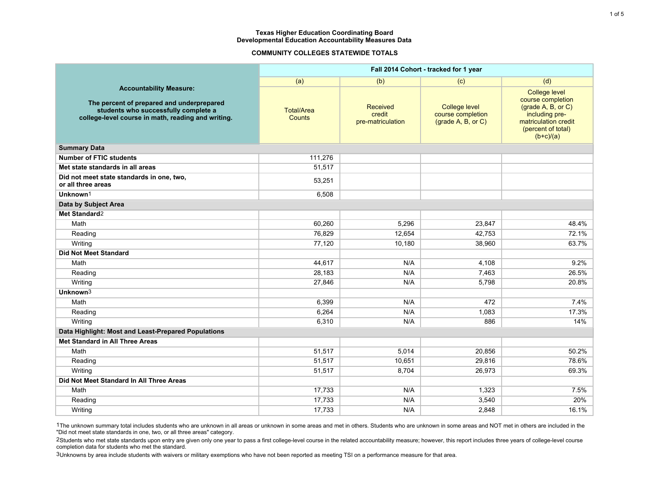## **COMMUNITY COLLEGES STATEWIDE TOTALS**

|                                                                                                                                                                           | Fall 2014 Cohort - tracked for 1 year |                                         |                                                                 |                                                                                                                                                |  |  |  |
|---------------------------------------------------------------------------------------------------------------------------------------------------------------------------|---------------------------------------|-----------------------------------------|-----------------------------------------------------------------|------------------------------------------------------------------------------------------------------------------------------------------------|--|--|--|
|                                                                                                                                                                           | (a)                                   | (b)                                     |                                                                 | (d)                                                                                                                                            |  |  |  |
| <b>Accountability Measure:</b><br>The percent of prepared and underprepared<br>students who successfully complete a<br>college-level course in math, reading and writing. | <b>Total/Area</b><br><b>Counts</b>    | Received<br>credit<br>pre-matriculation | <b>College level</b><br>course completion<br>(grade A, B, or C) | <b>College level</b><br>course completion<br>(grade A, B, or C)<br>including pre-<br>matriculation credit<br>(percent of total)<br>$(b+c)/(a)$ |  |  |  |
| <b>Summary Data</b>                                                                                                                                                       |                                       |                                         |                                                                 |                                                                                                                                                |  |  |  |
| <b>Number of FTIC students</b>                                                                                                                                            | 111,276                               |                                         |                                                                 |                                                                                                                                                |  |  |  |
| Met state standards in all areas                                                                                                                                          | 51,517                                |                                         |                                                                 |                                                                                                                                                |  |  |  |
| Did not meet state standards in one, two,<br>or all three areas                                                                                                           | 53,251                                |                                         |                                                                 |                                                                                                                                                |  |  |  |
| Unknown <sup>1</sup>                                                                                                                                                      | 6,508                                 |                                         |                                                                 |                                                                                                                                                |  |  |  |
| Data by Subject Area                                                                                                                                                      |                                       |                                         |                                                                 |                                                                                                                                                |  |  |  |
| Met Standard <sup>2</sup>                                                                                                                                                 |                                       |                                         |                                                                 |                                                                                                                                                |  |  |  |
| Math                                                                                                                                                                      | 60,260                                | 5,296                                   | 23,847                                                          | 48.4%                                                                                                                                          |  |  |  |
| Reading                                                                                                                                                                   | 76,829                                | 12,654                                  | 42,753                                                          | 72.1%                                                                                                                                          |  |  |  |
| Writing                                                                                                                                                                   | 77,120                                | 10,180                                  | 38,960                                                          | 63.7%                                                                                                                                          |  |  |  |
| <b>Did Not Meet Standard</b>                                                                                                                                              |                                       |                                         |                                                                 |                                                                                                                                                |  |  |  |
| Math                                                                                                                                                                      | 44,617                                | N/A                                     | 4,108                                                           | 9.2%                                                                                                                                           |  |  |  |
| Reading                                                                                                                                                                   | 28,183                                | N/A                                     | 7,463                                                           | 26.5%                                                                                                                                          |  |  |  |
| Writing                                                                                                                                                                   | 27.846                                | N/A                                     | 5.798                                                           | 20.8%                                                                                                                                          |  |  |  |
| Unknown <sup>3</sup>                                                                                                                                                      |                                       |                                         |                                                                 |                                                                                                                                                |  |  |  |
| Math                                                                                                                                                                      | 6,399                                 | N/A                                     | 472                                                             | 7.4%                                                                                                                                           |  |  |  |
| Reading                                                                                                                                                                   | 6,264                                 | N/A                                     | 1,083                                                           | 17.3%                                                                                                                                          |  |  |  |
| Writing                                                                                                                                                                   | 6,310                                 | N/A                                     | 886                                                             | 14%                                                                                                                                            |  |  |  |
| Data Highlight: Most and Least-Prepared Populations                                                                                                                       |                                       |                                         |                                                                 |                                                                                                                                                |  |  |  |
| Met Standard in All Three Areas                                                                                                                                           |                                       |                                         |                                                                 |                                                                                                                                                |  |  |  |
| Math                                                                                                                                                                      | 51,517                                | 5,014                                   | 20,856                                                          | 50.2%                                                                                                                                          |  |  |  |
| Reading                                                                                                                                                                   | 51,517                                | 10,651                                  | 29,816                                                          | 78.6%                                                                                                                                          |  |  |  |
| Writing                                                                                                                                                                   | 51,517                                | 8,704                                   | 26,973                                                          | 69.3%                                                                                                                                          |  |  |  |
| Did Not Meet Standard In All Three Areas                                                                                                                                  |                                       |                                         |                                                                 |                                                                                                                                                |  |  |  |
| Math                                                                                                                                                                      | 17,733                                | N/A                                     | 1,323                                                           | 7.5%                                                                                                                                           |  |  |  |
| Reading                                                                                                                                                                   | 17,733                                | N/A                                     | 3,540                                                           | 20%                                                                                                                                            |  |  |  |
| Writing                                                                                                                                                                   | 17,733                                | N/A                                     | 2,848                                                           | 16.1%                                                                                                                                          |  |  |  |

1The unknown summary total includes students who are unknown in all areas or unknown in some areas and met in others. Students who are unknown in some areas and NOT met in others are included in the "Did not meet state standards in one, two, or all three areas" category.

2Students who met state standards upon entry are given only one year to pass a first college-level course in the related accountability measure; however, this report includes three years of college-level course completion data for students who met the standard.

3Unknowns by area include students with waivers or military exemptions who have not been reported as meeting TSI on a performance measure for that area.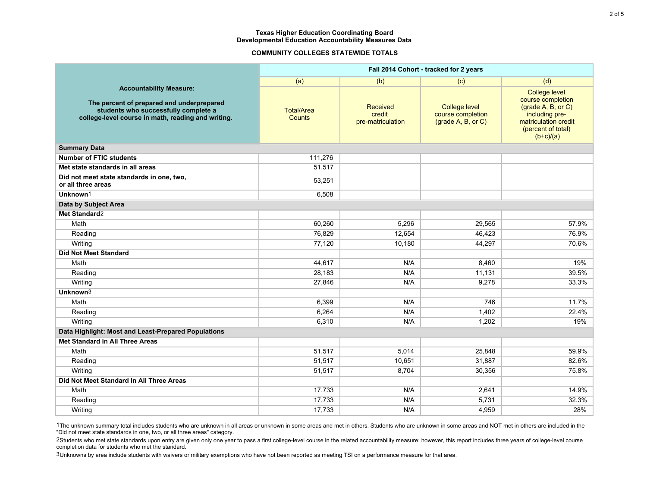## **COMMUNITY COLLEGES STATEWIDE TOTALS**

|                                                                                                                                                                           | Fall 2014 Cohort - tracked for 2 years |                                         |                                                                 |                                                                                                                                                |  |  |  |
|---------------------------------------------------------------------------------------------------------------------------------------------------------------------------|----------------------------------------|-----------------------------------------|-----------------------------------------------------------------|------------------------------------------------------------------------------------------------------------------------------------------------|--|--|--|
|                                                                                                                                                                           | (a)                                    | (b)                                     |                                                                 | (d)                                                                                                                                            |  |  |  |
| <b>Accountability Measure:</b><br>The percent of prepared and underprepared<br>students who successfully complete a<br>college-level course in math, reading and writing. | <b>Total/Area</b><br><b>Counts</b>     | Received<br>credit<br>pre-matriculation | <b>College level</b><br>course completion<br>(grade A, B, or C) | <b>College level</b><br>course completion<br>(grade A, B, or C)<br>including pre-<br>matriculation credit<br>(percent of total)<br>$(b+c)/(a)$ |  |  |  |
| <b>Summary Data</b>                                                                                                                                                       |                                        |                                         |                                                                 |                                                                                                                                                |  |  |  |
| <b>Number of FTIC students</b>                                                                                                                                            | 111,276                                |                                         |                                                                 |                                                                                                                                                |  |  |  |
| Met state standards in all areas                                                                                                                                          | 51,517                                 |                                         |                                                                 |                                                                                                                                                |  |  |  |
| Did not meet state standards in one, two,<br>or all three areas                                                                                                           | 53,251                                 |                                         |                                                                 |                                                                                                                                                |  |  |  |
| Unknown <sup>1</sup>                                                                                                                                                      | 6,508                                  |                                         |                                                                 |                                                                                                                                                |  |  |  |
| Data by Subject Area                                                                                                                                                      |                                        |                                         |                                                                 |                                                                                                                                                |  |  |  |
| Met Standard <sup>2</sup>                                                                                                                                                 |                                        |                                         |                                                                 |                                                                                                                                                |  |  |  |
| Math                                                                                                                                                                      | 60,260                                 | 5,296                                   | 29,565                                                          | 57.9%                                                                                                                                          |  |  |  |
| Reading                                                                                                                                                                   | 76,829                                 | 12,654                                  | 46,423                                                          | 76.9%                                                                                                                                          |  |  |  |
| Writing                                                                                                                                                                   | 77,120                                 | 10,180                                  | 44,297                                                          | 70.6%                                                                                                                                          |  |  |  |
| <b>Did Not Meet Standard</b>                                                                                                                                              |                                        |                                         |                                                                 |                                                                                                                                                |  |  |  |
| Math                                                                                                                                                                      | 44,617                                 | N/A                                     | 8,460                                                           | 19%                                                                                                                                            |  |  |  |
| Reading                                                                                                                                                                   | 28,183                                 | N/A                                     | 11,131                                                          | 39.5%                                                                                                                                          |  |  |  |
| Writing                                                                                                                                                                   | 27.846                                 | N/A                                     | 9.278                                                           | 33.3%                                                                                                                                          |  |  |  |
| Unknown <sup>3</sup>                                                                                                                                                      |                                        |                                         |                                                                 |                                                                                                                                                |  |  |  |
| Math                                                                                                                                                                      | 6,399                                  | N/A                                     | 746                                                             | 11.7%                                                                                                                                          |  |  |  |
| Reading                                                                                                                                                                   | 6,264                                  | N/A                                     | 1,402                                                           | 22.4%                                                                                                                                          |  |  |  |
| Writing                                                                                                                                                                   | 6,310                                  | N/A                                     | 1,202                                                           | 19%                                                                                                                                            |  |  |  |
| Data Highlight: Most and Least-Prepared Populations                                                                                                                       |                                        |                                         |                                                                 |                                                                                                                                                |  |  |  |
| Met Standard in All Three Areas                                                                                                                                           |                                        |                                         |                                                                 |                                                                                                                                                |  |  |  |
| Math                                                                                                                                                                      | 51,517                                 | 5,014                                   | 25,848                                                          | 59.9%                                                                                                                                          |  |  |  |
| Reading                                                                                                                                                                   | 51,517                                 | 10,651                                  | 31,887                                                          | 82.6%                                                                                                                                          |  |  |  |
| Writing                                                                                                                                                                   | 51,517                                 | 8,704                                   | 30,356                                                          | 75.8%                                                                                                                                          |  |  |  |
| Did Not Meet Standard In All Three Areas                                                                                                                                  |                                        |                                         |                                                                 |                                                                                                                                                |  |  |  |
| Math                                                                                                                                                                      | 17,733                                 | N/A                                     | 2,641                                                           | 14.9%                                                                                                                                          |  |  |  |
| Reading                                                                                                                                                                   | 17,733                                 | N/A                                     | 5,731                                                           | 32.3%                                                                                                                                          |  |  |  |
| Writing                                                                                                                                                                   | 17,733                                 | N/A                                     | 4,959                                                           | 28%                                                                                                                                            |  |  |  |

1The unknown summary total includes students who are unknown in all areas or unknown in some areas and met in others. Students who are unknown in some areas and NOT met in others are included in the "Did not meet state standards in one, two, or all three areas" category.

2Students who met state standards upon entry are given only one year to pass a first college-level course in the related accountability measure; however, this report includes three years of college-level course completion data for students who met the standard.

3Unknowns by area include students with waivers or military exemptions who have not been reported as meeting TSI on a performance measure for that area.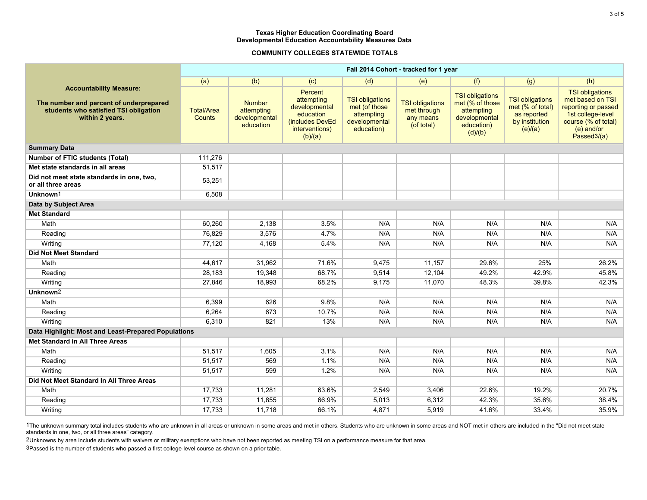## **COMMUNITY COLLEGES STATEWIDE TOTALS**

|                                                                                                                                       | Fall 2014 Cohort - tracked for 1 year |                                                           |                                                                                                            |                                                                                      |                                                                  |                                                                                                   |                                                                                        |                                                                                                                                                         |
|---------------------------------------------------------------------------------------------------------------------------------------|---------------------------------------|-----------------------------------------------------------|------------------------------------------------------------------------------------------------------------|--------------------------------------------------------------------------------------|------------------------------------------------------------------|---------------------------------------------------------------------------------------------------|----------------------------------------------------------------------------------------|---------------------------------------------------------------------------------------------------------------------------------------------------------|
|                                                                                                                                       | (a)                                   | (b)                                                       | (c)                                                                                                        | (d)                                                                                  | (e)                                                              | (f)                                                                                               | (g)                                                                                    | (h)                                                                                                                                                     |
| <b>Accountability Measure:</b><br>The number and percent of underprepared<br>students who satisfied TSI obligation<br>within 2 years. | <b>Total/Area</b><br><b>Counts</b>    | <b>Number</b><br>attempting<br>developmental<br>education | <b>Percent</b><br>attempting<br>developmental<br>education<br>(includes DevEd<br>interventions)<br>(b)/(a) | <b>TSI obligations</b><br>met (of those<br>attempting<br>developmental<br>education) | <b>TSI obligations</b><br>met through<br>any means<br>(of total) | <b>TSI obligations</b><br>met (% of those<br>attempting<br>developmental<br>education)<br>(d)/(b) | <b>TSI obligations</b><br>met (% of total)<br>as reported<br>by institution<br>(e)/(a) | <b>TSI obligations</b><br>met based on TSI<br>reporting or passed<br>1st college-level<br>course (% of total)<br>(e) and/or<br>Passed <sup>3</sup> /(a) |
| <b>Summary Data</b>                                                                                                                   |                                       |                                                           |                                                                                                            |                                                                                      |                                                                  |                                                                                                   |                                                                                        |                                                                                                                                                         |
| <b>Number of FTIC students (Total)</b>                                                                                                | 111,276                               |                                                           |                                                                                                            |                                                                                      |                                                                  |                                                                                                   |                                                                                        |                                                                                                                                                         |
| Met state standards in all areas                                                                                                      | 51,517                                |                                                           |                                                                                                            |                                                                                      |                                                                  |                                                                                                   |                                                                                        |                                                                                                                                                         |
| Did not meet state standards in one, two,<br>or all three areas                                                                       | 53,251                                |                                                           |                                                                                                            |                                                                                      |                                                                  |                                                                                                   |                                                                                        |                                                                                                                                                         |
| Unknown <sup>1</sup>                                                                                                                  | 6,508                                 |                                                           |                                                                                                            |                                                                                      |                                                                  |                                                                                                   |                                                                                        |                                                                                                                                                         |
| Data by Subject Area                                                                                                                  |                                       |                                                           |                                                                                                            |                                                                                      |                                                                  |                                                                                                   |                                                                                        |                                                                                                                                                         |
| <b>Met Standard</b>                                                                                                                   |                                       |                                                           |                                                                                                            |                                                                                      |                                                                  |                                                                                                   |                                                                                        |                                                                                                                                                         |
| Math                                                                                                                                  | 60,260                                | 2,138                                                     | 3.5%                                                                                                       | N/A                                                                                  | N/A                                                              | N/A                                                                                               | N/A                                                                                    | N/A                                                                                                                                                     |
| Reading                                                                                                                               | 76,829                                | 3,576                                                     | 4.7%                                                                                                       | N/A                                                                                  | N/A                                                              | N/A                                                                                               | N/A                                                                                    | N/A                                                                                                                                                     |
| Writing                                                                                                                               | 77,120                                | 4,168                                                     | 5.4%                                                                                                       | N/A                                                                                  | N/A                                                              | N/A                                                                                               | N/A                                                                                    | N/A                                                                                                                                                     |
| <b>Did Not Meet Standard</b>                                                                                                          |                                       |                                                           |                                                                                                            |                                                                                      |                                                                  |                                                                                                   |                                                                                        |                                                                                                                                                         |
| Math                                                                                                                                  | 44,617                                | 31,962                                                    | 71.6%                                                                                                      | 9,475                                                                                | 11,157                                                           | 29.6%                                                                                             | 25%                                                                                    | 26.2%                                                                                                                                                   |
| Reading                                                                                                                               | 28,183                                | 19,348                                                    | 68.7%                                                                                                      | 9,514                                                                                | 12,104                                                           | 49.2%                                                                                             | 42.9%                                                                                  | 45.8%                                                                                                                                                   |
| Writing                                                                                                                               | 27,846                                | 18,993                                                    | 68.2%                                                                                                      | 9,175                                                                                | 11,070                                                           | 48.3%                                                                                             | 39.8%                                                                                  | 42.3%                                                                                                                                                   |
| Unknown <sup>2</sup>                                                                                                                  |                                       |                                                           |                                                                                                            |                                                                                      |                                                                  |                                                                                                   |                                                                                        |                                                                                                                                                         |
| Math                                                                                                                                  | 6,399                                 | 626                                                       | 9.8%                                                                                                       | N/A                                                                                  | N/A                                                              | N/A                                                                                               | N/A                                                                                    | N/A                                                                                                                                                     |
| Reading                                                                                                                               | 6,264                                 | 673                                                       | 10.7%                                                                                                      | N/A                                                                                  | N/A                                                              | N/A                                                                                               | N/A                                                                                    | N/A                                                                                                                                                     |
| Writing                                                                                                                               | 6,310                                 | 821                                                       | 13%                                                                                                        | N/A                                                                                  | N/A                                                              | N/A                                                                                               | N/A                                                                                    | N/A                                                                                                                                                     |
| Data Highlight: Most and Least-Prepared Populations                                                                                   |                                       |                                                           |                                                                                                            |                                                                                      |                                                                  |                                                                                                   |                                                                                        |                                                                                                                                                         |
| Met Standard in All Three Areas                                                                                                       |                                       |                                                           |                                                                                                            |                                                                                      |                                                                  |                                                                                                   |                                                                                        |                                                                                                                                                         |
| Math                                                                                                                                  | 51,517                                | 1,605                                                     | 3.1%                                                                                                       | N/A                                                                                  | N/A                                                              | N/A                                                                                               | N/A                                                                                    | N/A                                                                                                                                                     |
| Reading                                                                                                                               | 51,517                                | 569                                                       | 1.1%                                                                                                       | N/A                                                                                  | N/A                                                              | N/A                                                                                               | N/A                                                                                    | N/A                                                                                                                                                     |
| Writing                                                                                                                               | 51,517                                | 599                                                       | 1.2%                                                                                                       | N/A                                                                                  | N/A                                                              | N/A                                                                                               | N/A                                                                                    | N/A                                                                                                                                                     |
| Did Not Meet Standard In All Three Areas                                                                                              |                                       |                                                           |                                                                                                            |                                                                                      |                                                                  |                                                                                                   |                                                                                        |                                                                                                                                                         |
| Math                                                                                                                                  | 17,733                                | 11,281                                                    | 63.6%                                                                                                      | 2,549                                                                                | 3,406                                                            | 22.6%                                                                                             | 19.2%                                                                                  | 20.7%                                                                                                                                                   |
| Reading                                                                                                                               | 17,733                                | 11,855                                                    | 66.9%                                                                                                      | 5,013                                                                                | 6,312                                                            | 42.3%                                                                                             | 35.6%                                                                                  | 38.4%                                                                                                                                                   |
| Writing                                                                                                                               | 17,733                                | 11,718                                                    | 66.1%                                                                                                      | 4,871                                                                                | 5,919                                                            | 41.6%                                                                                             | 33.4%                                                                                  | 35.9%                                                                                                                                                   |

1The unknown summary total includes students who are unknown in all areas or unknown in some areas and the areas and areas and there are included in the "Did not meet state standards in one, two, or all three areas" category.

2Unknowns by area include students with waivers or military exemptions who have not been reported as meeting TSI on a performance measure for that area.

3Passed is the number of students who passed a first college-level course as shown on a prior table.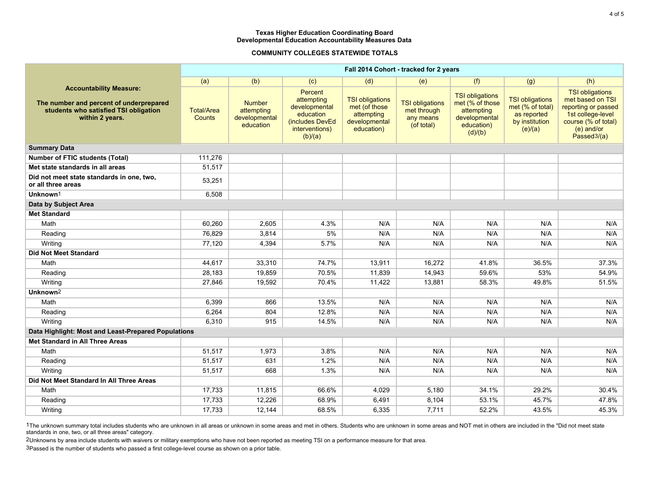# **COMMUNITY COLLEGES STATEWIDE TOTALS**

|                                                                                                                                       | Fall 2014 Cohort - tracked for 2 years |                                                           |                                                                                                            |                                                                                      |                                                                  |                                                                                                   |                                                                                        |                                                                                                                                                         |
|---------------------------------------------------------------------------------------------------------------------------------------|----------------------------------------|-----------------------------------------------------------|------------------------------------------------------------------------------------------------------------|--------------------------------------------------------------------------------------|------------------------------------------------------------------|---------------------------------------------------------------------------------------------------|----------------------------------------------------------------------------------------|---------------------------------------------------------------------------------------------------------------------------------------------------------|
|                                                                                                                                       | (a)                                    | (b)                                                       | (c)                                                                                                        | (d)                                                                                  | (e)                                                              | (f)                                                                                               | (g)                                                                                    | (h)                                                                                                                                                     |
| <b>Accountability Measure:</b><br>The number and percent of underprepared<br>students who satisfied TSI obligation<br>within 2 years. | <b>Total/Area</b><br><b>Counts</b>     | <b>Number</b><br>attempting<br>developmental<br>education | <b>Percent</b><br>attempting<br>developmental<br>education<br>(includes DevEd<br>interventions)<br>(b)/(a) | <b>TSI obligations</b><br>met (of those<br>attempting<br>developmental<br>education) | <b>TSI obligations</b><br>met through<br>any means<br>(of total) | <b>TSI obligations</b><br>met (% of those<br>attempting<br>developmental<br>education)<br>(d)/(b) | <b>TSI obligations</b><br>met (% of total)<br>as reported<br>by institution<br>(e)/(a) | <b>TSI obligations</b><br>met based on TSI<br>reporting or passed<br>1st college-level<br>course (% of total)<br>(e) and/or<br>Passed <sup>3</sup> /(a) |
| <b>Summary Data</b>                                                                                                                   |                                        |                                                           |                                                                                                            |                                                                                      |                                                                  |                                                                                                   |                                                                                        |                                                                                                                                                         |
| <b>Number of FTIC students (Total)</b>                                                                                                | 111,276                                |                                                           |                                                                                                            |                                                                                      |                                                                  |                                                                                                   |                                                                                        |                                                                                                                                                         |
| Met state standards in all areas                                                                                                      | 51,517                                 |                                                           |                                                                                                            |                                                                                      |                                                                  |                                                                                                   |                                                                                        |                                                                                                                                                         |
| Did not meet state standards in one, two,<br>or all three areas                                                                       | 53,251                                 |                                                           |                                                                                                            |                                                                                      |                                                                  |                                                                                                   |                                                                                        |                                                                                                                                                         |
| Unknown <sup>1</sup>                                                                                                                  | 6,508                                  |                                                           |                                                                                                            |                                                                                      |                                                                  |                                                                                                   |                                                                                        |                                                                                                                                                         |
| Data by Subject Area                                                                                                                  |                                        |                                                           |                                                                                                            |                                                                                      |                                                                  |                                                                                                   |                                                                                        |                                                                                                                                                         |
| <b>Met Standard</b>                                                                                                                   |                                        |                                                           |                                                                                                            |                                                                                      |                                                                  |                                                                                                   |                                                                                        |                                                                                                                                                         |
| Math                                                                                                                                  | 60,260                                 | 2,605                                                     | 4.3%                                                                                                       | N/A                                                                                  | N/A                                                              | N/A                                                                                               | N/A                                                                                    | N/A                                                                                                                                                     |
| Reading                                                                                                                               | 76,829                                 | 3,814                                                     | 5%                                                                                                         | N/A                                                                                  | N/A                                                              | N/A                                                                                               | N/A                                                                                    | N/A                                                                                                                                                     |
| Writing                                                                                                                               | 77,120                                 | 4,394                                                     | 5.7%                                                                                                       | N/A                                                                                  | N/A                                                              | N/A                                                                                               | N/A                                                                                    | N/A                                                                                                                                                     |
| <b>Did Not Meet Standard</b>                                                                                                          |                                        |                                                           |                                                                                                            |                                                                                      |                                                                  |                                                                                                   |                                                                                        |                                                                                                                                                         |
| Math                                                                                                                                  | 44,617                                 | 33,310                                                    | 74.7%                                                                                                      | 13,911                                                                               | 16,272                                                           | 41.8%                                                                                             | 36.5%                                                                                  | 37.3%                                                                                                                                                   |
| Reading                                                                                                                               | 28,183                                 | 19,859                                                    | 70.5%                                                                                                      | 11,839                                                                               | 14,943                                                           | 59.6%                                                                                             | 53%                                                                                    | 54.9%                                                                                                                                                   |
| Writing                                                                                                                               | 27,846                                 | 19,592                                                    | 70.4%                                                                                                      | 11,422                                                                               | 13,881                                                           | 58.3%                                                                                             | 49.8%                                                                                  | 51.5%                                                                                                                                                   |
| Unknown <sup>2</sup>                                                                                                                  |                                        |                                                           |                                                                                                            |                                                                                      |                                                                  |                                                                                                   |                                                                                        |                                                                                                                                                         |
| Math                                                                                                                                  | 6,399                                  | 866                                                       | 13.5%                                                                                                      | N/A                                                                                  | N/A                                                              | N/A                                                                                               | N/A                                                                                    | N/A                                                                                                                                                     |
| Reading                                                                                                                               | 6,264                                  | 804                                                       | 12.8%                                                                                                      | N/A                                                                                  | N/A                                                              | N/A                                                                                               | N/A                                                                                    | N/A                                                                                                                                                     |
| Writing                                                                                                                               | 6,310                                  | 915                                                       | 14.5%                                                                                                      | N/A                                                                                  | N/A                                                              | N/A                                                                                               | N/A                                                                                    | N/A                                                                                                                                                     |
| Data Highlight: Most and Least-Prepared Populations                                                                                   |                                        |                                                           |                                                                                                            |                                                                                      |                                                                  |                                                                                                   |                                                                                        |                                                                                                                                                         |
| Met Standard in All Three Areas                                                                                                       |                                        |                                                           |                                                                                                            |                                                                                      |                                                                  |                                                                                                   |                                                                                        |                                                                                                                                                         |
| Math                                                                                                                                  | 51,517                                 | 1,973                                                     | 3.8%                                                                                                       | N/A                                                                                  | N/A                                                              | N/A                                                                                               | N/A                                                                                    | N/A                                                                                                                                                     |
| Reading                                                                                                                               | 51,517                                 | 631                                                       | 1.2%                                                                                                       | N/A                                                                                  | N/A                                                              | N/A                                                                                               | N/A                                                                                    | N/A                                                                                                                                                     |
| Writing                                                                                                                               | 51,517                                 | 668                                                       | 1.3%                                                                                                       | N/A                                                                                  | N/A                                                              | N/A                                                                                               | N/A                                                                                    | N/A                                                                                                                                                     |
| Did Not Meet Standard In All Three Areas                                                                                              |                                        |                                                           |                                                                                                            |                                                                                      |                                                                  |                                                                                                   |                                                                                        |                                                                                                                                                         |
| Math                                                                                                                                  | 17,733                                 | 11,815                                                    | 66.6%                                                                                                      | 4,029                                                                                | 5,180                                                            | 34.1%                                                                                             | 29.2%                                                                                  | 30.4%                                                                                                                                                   |
| Reading                                                                                                                               | 17,733                                 | 12,226                                                    | 68.9%                                                                                                      | 6,491                                                                                | 8,104                                                            | 53.1%                                                                                             | 45.7%                                                                                  | 47.8%                                                                                                                                                   |
| Writing                                                                                                                               | 17,733                                 | 12,144                                                    | 68.5%                                                                                                      | 6,335                                                                                | 7,711                                                            | 52.2%                                                                                             | 43.5%                                                                                  | 45.3%                                                                                                                                                   |

1The unknown summary total includes students who are unknown in all areas or unknown in some areas and the areas and areas and there are included in the "Did not meet state standards in one, two, or all three areas" category.

2Unknowns by area include students with waivers or military exemptions who have not been reported as meeting TSI on a performance measure for that area.

3Passed is the number of students who passed a first college-level course as shown on a prior table.